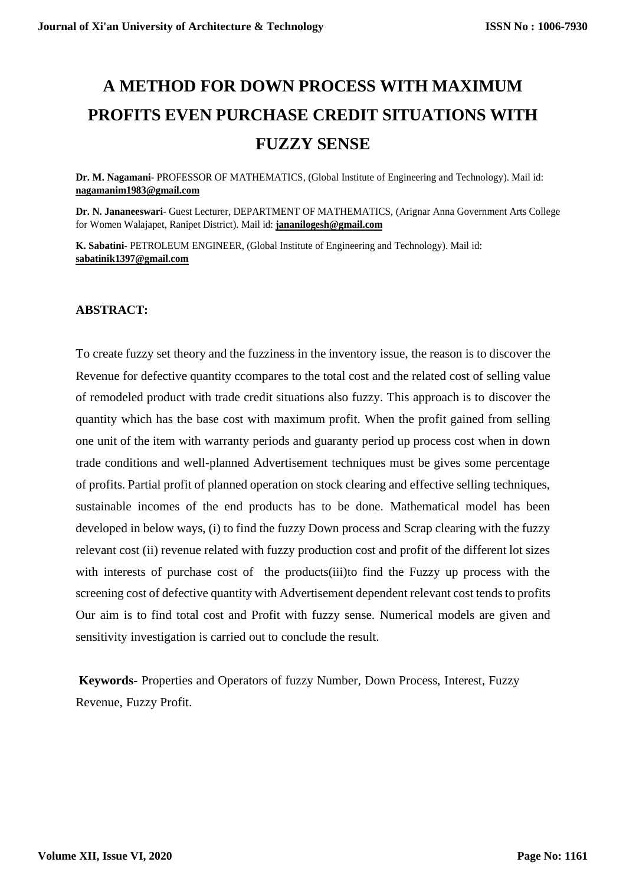# **A METHOD FOR DOWN PROCESS WITH MAXIMUM PROFITS EVEN PURCHASE CREDIT SITUATIONS WITH FUZZY SENSE**

**Dr. M. Nagamani**- PROFESSOR OF MATHEMATICS, (Global Institute of Engineering and Technology). Mail id: **nagamanim1983@gmail.com**

**Dr. N. Jananeeswari**- Guest Lecturer, DEPARTMENT OF MATHEMATICS, (Arignar Anna Government Arts College for Women Walajapet, Ranipet District). Mail id: **jananilogesh@gmail.com**

**K. Sabatini**- PETROLEUM ENGINEER, (Global Institute of Engineering and Technology). Mail id: **sabatinik1397@gmail.com**

#### **ABSTRACT:**

To create fuzzy set theory and the fuzziness in the inventory issue, the reason is to discover the Revenue for defective quantity ccompares to the total cost and the related cost of selling value of remodeled product with trade credit situations also fuzzy. This approach is to discover the quantity which has the base cost with maximum profit. When the profit gained from selling one unit of the item with warranty periods and guaranty period up process cost when in down trade conditions and well-planned Advertisement techniques must be gives some percentage of profits. Partial profit of planned operation on stock clearing and effective selling techniques, sustainable incomes of the end products has to be done. Mathematical model has been developed in below ways, (i) to find the fuzzy Down process and Scrap clearing with the fuzzy relevant cost (ii) revenue related with fuzzy production cost and profit of the different lot sizes with interests of purchase cost of the products(iii)to find the Fuzzy up process with the screening cost of defective quantity with Advertisement dependent relevant cost tends to profits Our aim is to find total cost and Profit with fuzzy sense. Numerical models are given and sensitivity investigation is carried out to conclude the result.

**Keywords-** Properties and Operators of fuzzy Number, Down Process, Interest, Fuzzy Revenue, Fuzzy Profit.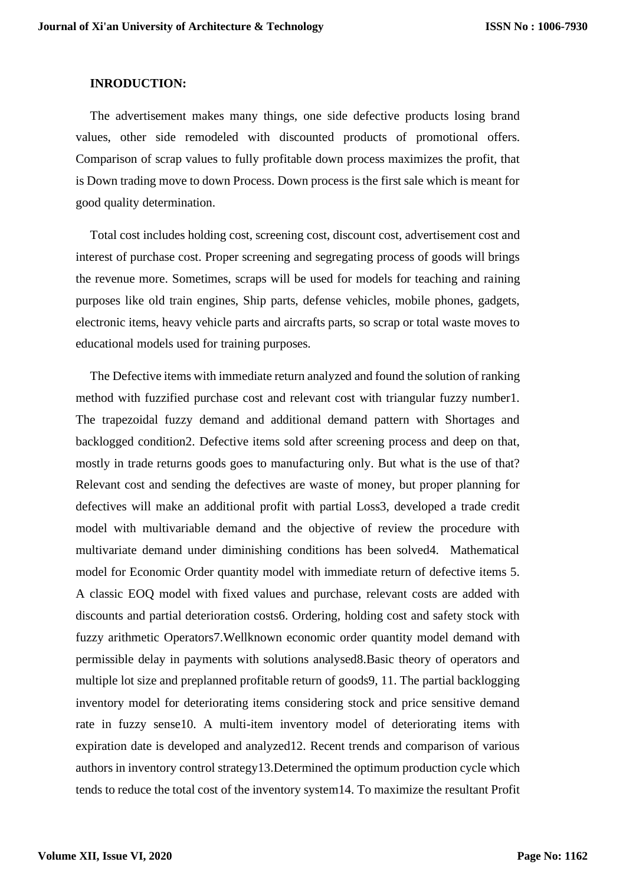#### **INRODUCTION:**

The advertisement makes many things, one side defective products losing brand values, other side remodeled with discounted products of promotional offers. Comparison of scrap values to fully profitable down process maximizes the profit, that is Down trading move to down Process. Down process is the first sale which is meant for good quality determination.

Total cost includes holding cost, screening cost, discount cost, advertisement cost and interest of purchase cost. Proper screening and segregating process of goods will brings the revenue more. Sometimes, scraps will be used for models for teaching and raining purposes like old train engines, Ship parts, defense vehicles, mobile phones, gadgets, electronic items, heavy vehicle parts and aircrafts parts, so scrap or total waste moves to educational models used for training purposes.

The Defective items with immediate return analyzed and found the solution of ranking method with fuzzified purchase cost and relevant cost with triangular fuzzy number1. The trapezoidal fuzzy demand and additional demand pattern with Shortages and backlogged condition2. Defective items sold after screening process and deep on that, mostly in trade returns goods goes to manufacturing only. But what is the use of that? Relevant cost and sending the defectives are waste of money, but proper planning for defectives will make an additional profit with partial Loss3, developed a trade credit model with multivariable demand and the objective of review the procedure with multivariate demand under diminishing conditions has been solved4. Mathematical model for Economic Order quantity model with immediate return of defective items 5. A classic EOQ model with fixed values and purchase, relevant costs are added with discounts and partial deterioration costs6. Ordering, holding cost and safety stock with fuzzy arithmetic Operators7.Wellknown economic order quantity model demand with permissible delay in payments with solutions analysed8.Basic theory of operators and multiple lot size and preplanned profitable return of goods9, 11. The partial backlogging inventory model for deteriorating items considering stock and price sensitive demand rate in fuzzy sense10. A multi-item inventory model of deteriorating items with expiration date is developed and analyzed12. Recent trends and comparison of various authors in inventory control strategy13.Determined the optimum production cycle which tends to reduce the total cost of the inventory system14. To maximize the resultant Profit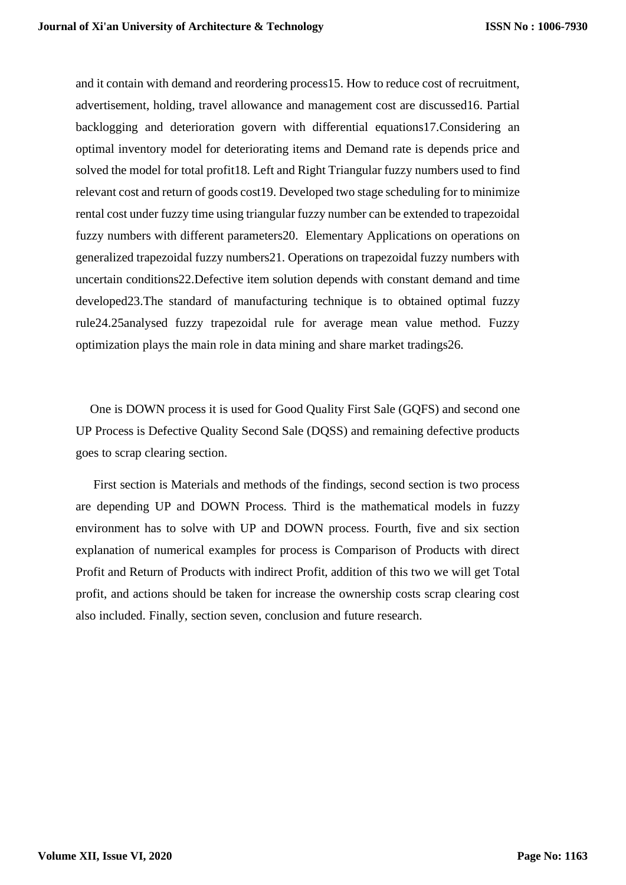and it contain with demand and reordering process15. How to reduce cost of recruitment, advertisement, holding, travel allowance and management cost are discussed16. Partial backlogging and deterioration govern with differential equations17.Considering an optimal inventory model for deteriorating items and Demand rate is depends price and solved the model for total profit18. Left and Right Triangular fuzzy numbers used to find relevant cost and return of goods cost19. Developed two stage scheduling for to minimize rental cost under fuzzy time using triangular fuzzy number can be extended to trapezoidal fuzzy numbers with different parameters20. Elementary Applications on operations on generalized trapezoidal fuzzy numbers21. Operations on trapezoidal fuzzy numbers with uncertain conditions22.Defective item solution depends with constant demand and time developed23.The standard of manufacturing technique is to obtained optimal fuzzy rule24.25analysed fuzzy trapezoidal rule for average mean value method. Fuzzy optimization plays the main role in data mining and share market tradings26.

One is DOWN process it is used for Good Quality First Sale (GQFS) and second one UP Process is Defective Quality Second Sale (DQSS) and remaining defective products goes to scrap clearing section.

First section is Materials and methods of the findings, second section is two process are depending UP and DOWN Process. Third is the mathematical models in fuzzy environment has to solve with UP and DOWN process. Fourth, five and six section explanation of numerical examples for process is Comparison of Products with direct Profit and Return of Products with indirect Profit, addition of this two we will get Total profit, and actions should be taken for increase the ownership costs scrap clearing cost also included. Finally, section seven, conclusion and future research.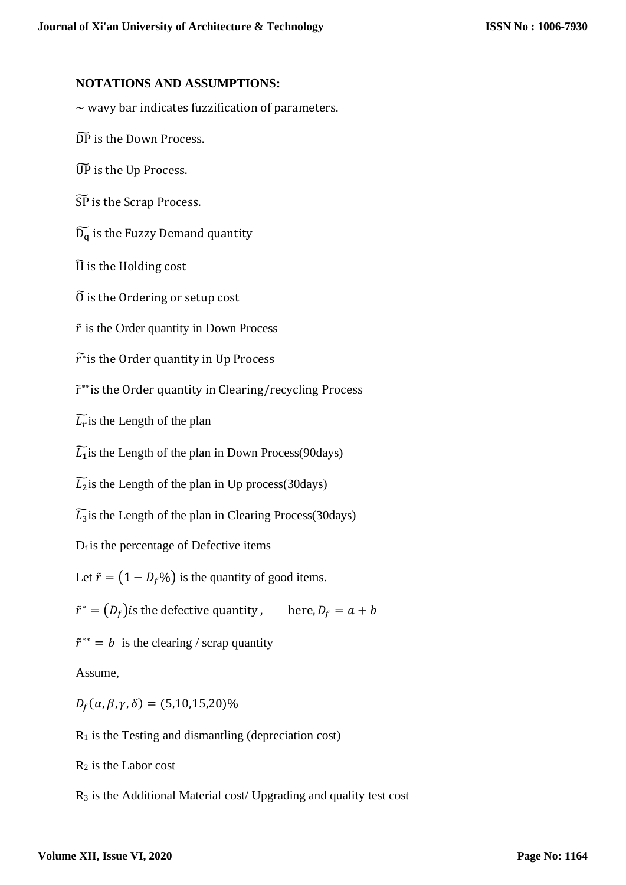#### **NOTATIONS AND ASSUMPTIONS:**

 $\sim$  wavy bar indicates fuzzification of parameters.

DP is the Down Process.

UP̃ is the Up Process.

SP̃ is the Scrap Process.

 $\widetilde{D_q}$  is the Fuzzy Demand quantity

H̃ is the Holding cost

 $\tilde{0}$  is the Ordering or setup cost

 $\tilde{r}$  is the Order quantity in Down Process

 $\widetilde{r^*}$ is the Order quantity in Up Process

r̃ ∗∗ is the Order quantity in Clearing/recycling Process

 $\widetilde{L_r}$  is the Length of the plan

 $\widetilde{L_1}$  is the Length of the plan in Down Process(90days)

 $\widetilde{L_2}$ is the Length of the plan in Up process(30days)

 $\widetilde{L_3}$ is the Length of the plan in Clearing Process(30days)

 $D_f$  is the percentage of Defective items

Let  $\tilde{r} = (1 - D_f\%)$  is the quantity of good items.

 $\tilde{r}^* = (D_f)$  is the defective quantity , here,  $D_f = a + b$ 

 $\tilde{r}^{**} = b$  is the clearing / scrap quantity

Assume,

 $D_f(\alpha, \beta, \gamma, \delta) = (5, 10, 15, 20)\%$ 

 $R_1$  is the Testing and dismantling (depreciation cost)

 $R_2$  is the Labor cost

R<sup>3</sup> is the Additional Material cost/ Upgrading and quality test cost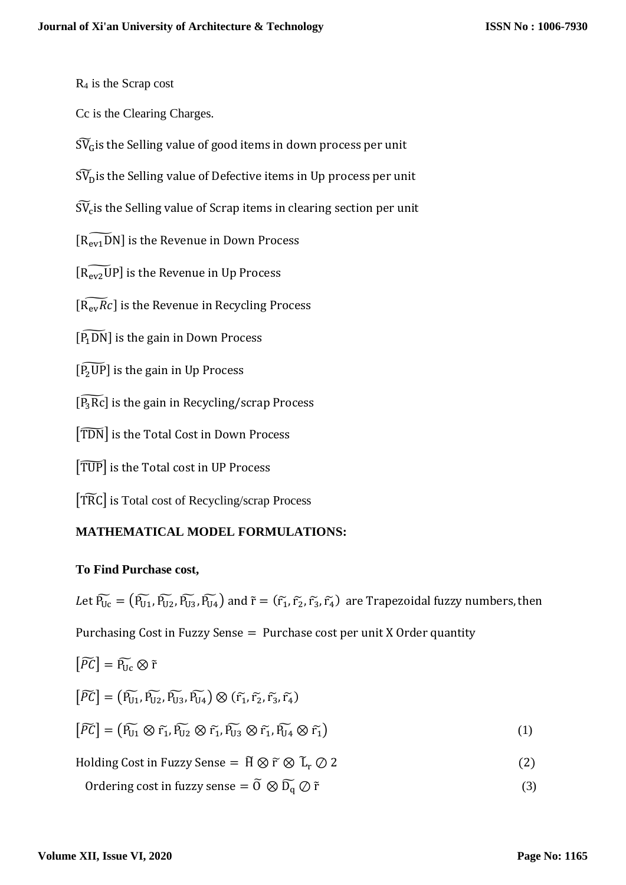$R_4$  is the Scrap cost

Cc is the Clearing Charges.

 $\widetilde{\mathrm{SV}}_{\mathrm{G}}$  is the Selling value of good items in down process per unit

 $\widetilde{\mathrm{SU}}_{\mathrm{D}}$  is the Selling value of Defective items in Up process per unit

 $\widetilde{\mathrm{SV}}_\mathrm{c}$ is the Selling value of Scrap items in clearing section per unit

 $\widetilde{[R_{ev1}DN]}$  is the Revenue in Down Process

 $[\widetilde{R_{ev2}UP}]$  is the Revenue in Up Process

 $\widetilde{[R_{ev}Rc]}$  is the Revenue in Recycling Process

 $\left[\widetilde{P_1DN}\right]$  is the gain in Down Process

 $[\widetilde{P_2UP}]$  is the gain in Up Process

 $[\widetilde{P_3Rc}]$  is the gain in Recycling/scrap Process

[TDN] is the Total Cost in Down Process

 $[TUP]$  is the Total cost in UP Process

[TRC] is Total cost of Recycling/scrap Process

## **MATHEMATICAL MODEL FORMULATIONS:**

## **To Find Purchase cost,**

Let  $\widetilde{P_{Uc}} = (\widetilde{P_{U1}}, \widetilde{P_{U2}}, \widetilde{P_{U3}}, \widetilde{P_{U4}})$  and  $\tilde{r} = (\widetilde{r_1}, \widetilde{r_2}, \widetilde{r_3}, \widetilde{r_4})$  are Trapezoidal fuzzy numbers, then Purchasing Cost in Fuzzy Sense = Purchase cost per unit X Order quantity

$$
\begin{aligned}\n\left[\widetilde{PC}\right] &= \widetilde{P_{Uc}} \otimes \widetilde{r} \\
\left[\widetilde{PC}\right] &= \left(\widetilde{P_{U1}}, \widetilde{P_{U2}}, \widetilde{P_{U3}}, \widetilde{P_{U4}}\right) \otimes \left(\widetilde{r_1}, \widetilde{r_2}, \widetilde{r_3}, \widetilde{r_4}\right) \\
\left[\widetilde{PC}\right] &= \left(\widetilde{P_{U1}} \otimes \widetilde{r_1}, \widetilde{P_{U2}} \otimes \widetilde{r_1}, \widetilde{P_{U3}} \otimes \widetilde{r_1}, \widetilde{P_{U4}} \otimes \widetilde{r_1}\right)\n\end{aligned} \tag{1}
$$
\n
$$
\text{Holding Cost in Fuzzy Sense} = \widetilde{H} \otimes \widetilde{r} \otimes \widetilde{L}_r \oslash 2\n\tag{2}
$$

Ordering cost in fuzzy sense =  $\tilde{O} \otimes \tilde{D_q} \oslash \tilde{r}$  (3)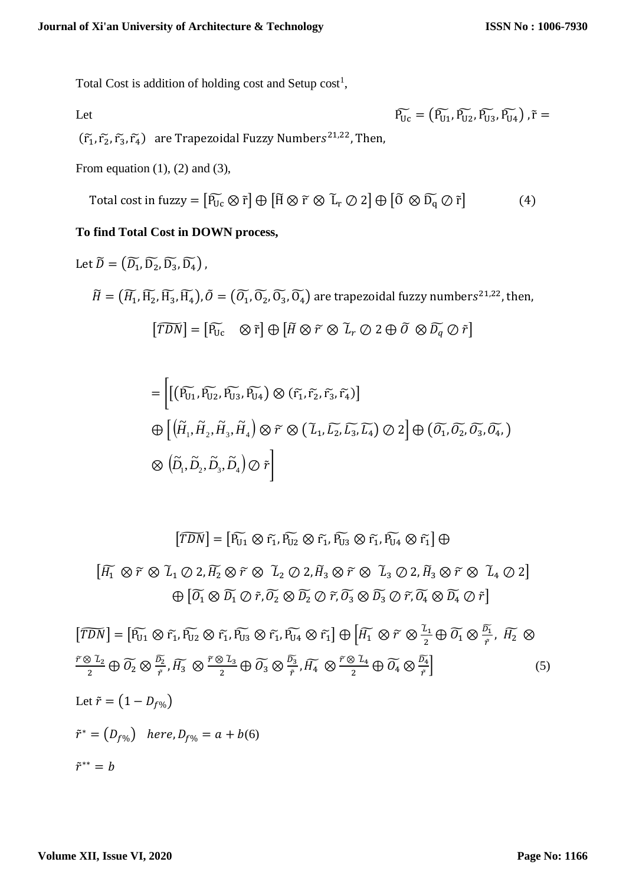Total Cost is addition of holding cost and Setup  $cost<sup>1</sup>$ ,

Let 
$$
\widetilde{P_{Uc}} = (\widetilde{P_{U1}}, \widetilde{P_{U2}}, \widetilde{P_{U3}}, \widetilde{P_{U4}}), \widetilde{r} =
$$

 $(\tilde{r}_1, \tilde{r}_2, \tilde{r}_3, \tilde{r}_4)$  are Trapezoidal Fuzzy Numbers<sup>21,22</sup>, Then,

From equation  $(1)$ ,  $(2)$  and  $(3)$ ,

Total cost in fuzzy = 
$$
[\widetilde{P_{Uc}} \otimes \widetilde{r}] \oplus [\widetilde{H} \otimes \widetilde{r} \otimes \widetilde{L}_r \oslash 2] \oplus [\widetilde{0} \otimes \widetilde{D_q} \oslash \widetilde{r}]
$$
 (4)

## **To find Total Cost in DOWN process,**

Let 
$$
\widetilde{D} = (\widetilde{D_1}, \widetilde{D_2}, \widetilde{D_3}, \widetilde{D_4})
$$
,  
\n
$$
\widetilde{H} = (\widetilde{H_1}, \widetilde{H_2}, \widetilde{H_3}, \widetilde{H_4}), \widetilde{O} = (\widetilde{O_1}, \widetilde{O_2}, \widetilde{O_3}, \widetilde{O_4})
$$
 are trapezoidal fuzzy numbers<sup>21,22</sup>, then,  
\n
$$
[\widetilde{TDN}] = [\widetilde{P_{Uc}} \otimes \widetilde{r}] \oplus [\widetilde{H} \otimes \widetilde{r} \otimes \widetilde{L}_r \oslash 2 \oplus \widetilde{O} \otimes \widetilde{D_q} \oslash \widetilde{r}]
$$

$$
= \left[ \left( \widetilde{P_{U_1}}, \widetilde{P_{U_2}}, \widetilde{P_{U_3}}, \widetilde{P_{U_4}} \right) \otimes (\widetilde{r_1}, \widetilde{r_2}, \widetilde{r_3}, \widetilde{r_4}) \right]
$$
  
\n
$$
\bigoplus \left[ \left( \widetilde{H}_1, \widetilde{H}_2, \widetilde{H}_3, \widetilde{H}_4 \right) \otimes \widetilde{r} \otimes (\widetilde{L}_1, \widetilde{L_2}, \widetilde{L_3}, \widetilde{L_4}) \otimes 2 \right] \oplus \left( \widetilde{O_1}, \widetilde{O_2}, \widetilde{O_3}, \widetilde{O_4}, \widetilde{D_4} \right)
$$
  
\n
$$
\otimes \left( \widetilde{D}_1, \widetilde{D}_2, \widetilde{D}_3, \widetilde{D}_4 \right) \otimes \widetilde{r} \right]
$$

 $\left[ \widetilde{TDN} \right] = \left[ \widetilde{P_{U1}} \otimes \widetilde{r_1}, \widetilde{P_{U2}} \otimes \widetilde{r_1}, \widetilde{P_{U3}} \otimes \widetilde{r_1}, \widetilde{P_{U4}} \otimes \widetilde{r_1} \right] \oplus$ 

 $[\widetilde{H_1} \otimes \widetilde{r} \otimes \widetilde{L}_1 \oslash 2, \widetilde{H_2} \otimes \widetilde{r} \otimes \widetilde{L}_2 \oslash 2, \widetilde{H}_3 \otimes \widetilde{r} \otimes \widetilde{L}_3 \oslash 2, \widetilde{H}_3 \otimes \widetilde{r} \otimes \widetilde{L}_4 \oslash 2]$  $\bigoplus \left[ \widetilde{O_1} \otimes \widetilde{D_1} \oslash \widetilde{r}, \widetilde{O_2} \otimes \widetilde{D_2} \oslash \widetilde{r}, \widetilde{O_3} \otimes \widetilde{D_3} \oslash \widetilde{r}, \widetilde{O_4} \otimes \widetilde{D_4} \oslash \widetilde{r} \right]$ 

$$
[\widetilde{TDN}] = [\widetilde{P_{U1}} \otimes \widetilde{r_1}, \widetilde{P_{U2}} \otimes \widetilde{r_1}, \widetilde{P_{U3}} \otimes \widetilde{r_1}, \widetilde{P_{U4}} \otimes \widetilde{r_1}] \oplus [\widetilde{H_1} \otimes \widetilde{r} \otimes \frac{\widetilde{L_1}}{2} \oplus \widetilde{O_1} \otimes \frac{\widetilde{D_1}}{\widetilde{r}}, \widetilde{H_2} \otimes \widetilde{L_2} \oplus \widetilde{O_2} \otimes \frac{\widetilde{D_2}}{\widetilde{r}}, \widetilde{H_3} \otimes \frac{\widetilde{r} \otimes \widetilde{L_3}}{2} \oplus \widetilde{O_3} \otimes \frac{\widetilde{D_3}}{\widetilde{r}}, \widetilde{H_4} \otimes \frac{\widetilde{r} \otimes \widetilde{L_4}}{2} \oplus \widetilde{O_4} \otimes \frac{\widetilde{D_4}}{\widetilde{r}}]
$$
(5)  
Let  $\widetilde{r} = (1 - D_{f\%})$   
 $\widetilde{r}^* = (D_{f\%}) \quad here, D_{f\%} = a + b(6)$   
 $\widetilde{r}^{**} = b$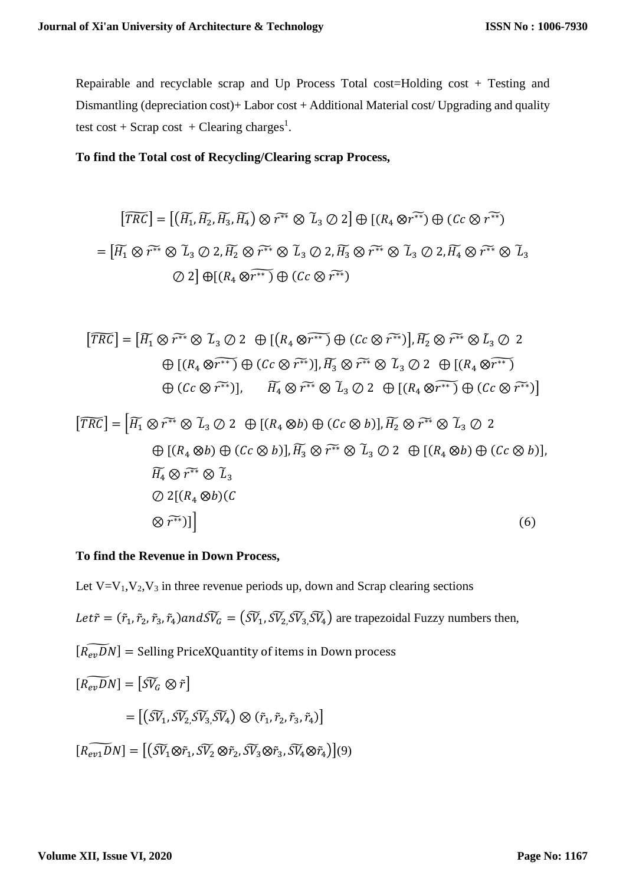Repairable and recyclable scrap and Up Process Total cost=Holding cost + Testing and Dismantling (depreciation cost)+ Labor cost + Additional Material cost/ Upgrading and quality test cost + Scrap cost + Clearing charges<sup>1</sup>.

#### **To find the Total cost of Recycling/Clearing scrap Process,**

$$
[\widetilde{TRC}] = [(\widetilde{H_1}, \widetilde{H_2}, \widetilde{H_3}, \widetilde{H_4}) \otimes \widetilde{r^{**}} \otimes \widetilde{L}_3 \oslash 2] \oplus [(R_4 \otimes \widetilde{r^{**}}) \oplus (Cc \otimes \widetilde{r^{**}})]
$$
  
=  $[\widetilde{H_1} \otimes \widetilde{r^{**}} \otimes \widetilde{L}_3 \oslash 2, \widetilde{H_2} \otimes \widetilde{r^{**}} \otimes \widetilde{L}_3 \oslash 2, \widetilde{H_3} \otimes \widetilde{r^{**}} \otimes \widetilde{L}_3 \oslash 2, \widetilde{H_4} \otimes \widetilde{r^{**}} \otimes \widetilde{L}_3 \otimes 2]$   
 $\oslash 2] \oplus [(R_4 \otimes \widetilde{r^{**}}) \oplus (Cc \otimes \widetilde{r^{**}})]$ 

$$
\begin{aligned} \left[\widetilde{TRC}\right] &= \left[\widetilde{H_1} \otimes \widetilde{r^{**}} \otimes \widetilde{L}_3 \oslash 2 \quad \oplus \left[\left(R_4 \otimes \widetilde{r^{**}}\right) \oplus \left(Cc \otimes \widetilde{r^{**}}\right)\right], \widetilde{H_2} \otimes \widetilde{r^{**}} \otimes \widetilde{L}_3 \oslash 2 \right. \\ &\quad \oplus \left[\left(R_4 \otimes \widetilde{r^{**}}\right) \oplus \left(Cc \otimes \widetilde{r^{**}}\right)\right], \widetilde{H_3} \otimes \widetilde{r^{**}} \otimes \widetilde{L}_3 \oslash 2 \quad \oplus \left[\left(R_4 \otimes \widetilde{r^{**}}\right) \right] \\ &\quad \oplus \left(Cc \otimes \widetilde{r^{**}}\right)\right], \qquad \widetilde{H_4} \otimes \widetilde{r^{**}} \otimes \widetilde{L}_3 \oslash 2 \quad \oplus \left[\left(R_4 \otimes \widetilde{r^{**}}\right) \oplus \left(Cc \otimes \widetilde{r^{**}}\right)\right] \end{aligned}
$$

$$
[\overline{TRC}] = [\overline{H}_1 \otimes \widetilde{r^{**}} \otimes \widetilde{L}_3 \oslash 2 \oplus [(R_4 \otimes b) \oplus (Cc \otimes b)], \overline{H}_2 \otimes \widetilde{r^{**}} \otimes \widetilde{L}_3 \oslash 2
$$
  

$$
\oplus [(R_4 \otimes b) \oplus (Cc \otimes b)], \overline{H}_3 \otimes \widetilde{r^{**}} \otimes \widetilde{L}_3 \oslash 2 \oplus [(R_4 \otimes b) \oplus (Cc \otimes b)],
$$
  

$$
\overline{H}_4 \otimes \widetilde{r^{**}} \otimes \widetilde{L}_3
$$
  

$$
\oslash 2[(R_4 \otimes b)(C
$$
  

$$
\otimes \widetilde{r^{**}})]
$$
  
(6)

#### **To find the Revenue in Down Process,**

Let  $V=V_1,V_2,V_3$  in three revenue periods up, down and Scrap clearing sections

*Let* $\tilde{r} = (\tilde{r}_1, \tilde{r}_2, \tilde{r}_3, \tilde{r}_4)$  and  $\tilde{V}_G = (\tilde{S}V_1, \tilde{S}V_2, \tilde{S}V_3, \tilde{V}_4)$  are trapezoidal Fuzzy numbers then,

 $[\widetilde{R_{ev}DN}]$  = Selling PriceXQuantity of items in Down process

$$
[\widetilde{R_{ev}DN}] = [\widetilde{SV}_G \otimes \widetilde{r}]
$$
  
\n
$$
= [(\widetilde{SV}_1, \widetilde{SV}_2, \widetilde{SV}_3, \widetilde{SV}_4) \otimes (\widetilde{r}_1, \widetilde{r}_2, \widetilde{r}_3, \widetilde{r}_4)]
$$
  
\n
$$
[\widetilde{R_{ev1}DN}] = [(\widetilde{SV}_1 \otimes \widetilde{r}_1, \widetilde{SV}_2 \otimes \widetilde{r}_2, \widetilde{SV}_3 \otimes \widetilde{r}_3, \widetilde{SV}_4 \otimes \widetilde{r}_4)](9)
$$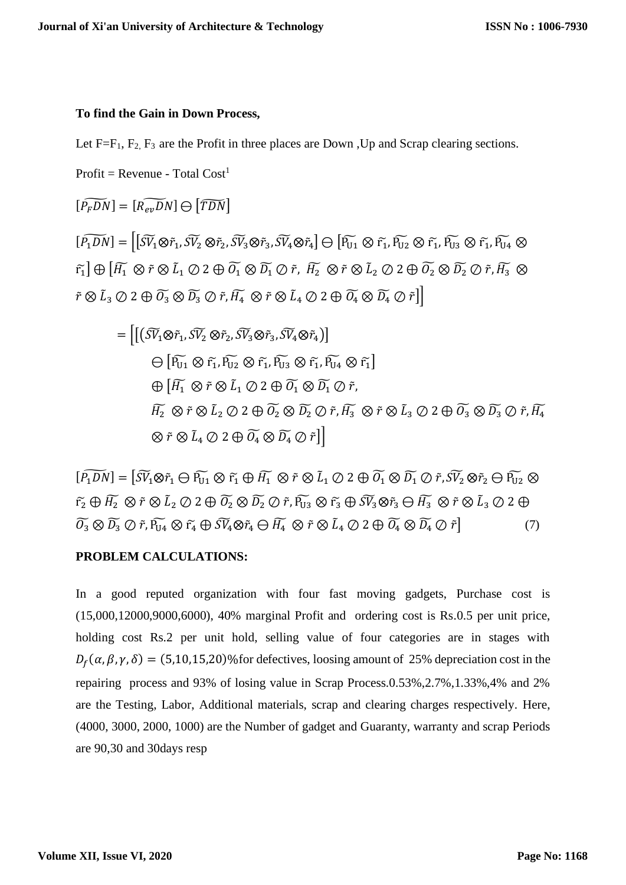#### **To find the Gain in Down Process,**

Let  $F=F_1$ ,  $F_2$ ,  $F_3$  are the Profit in three places are Down , Up and Scrap clearing sections.

 $Profit = Revenue - Total Cost<sup>1</sup>$ 

 $[\widetilde{P_{E}DN}] = [\widetilde{R_{en}DN}]\ominus[\widetilde{TDN}]$ 

 $[\widetilde{P_1DN}]=[\widetilde{S}V_1\otimes \widetilde{r}_1,\widetilde{SV}_2\otimes \widetilde{r}_2,\widetilde{SV}_3\otimes \widetilde{r}_3,\widetilde{SV}_4\otimes \widetilde{r}_4]\ominus[\widetilde{P_{U1}}\otimes \widetilde{r_1},\widetilde{P_{U2}}\otimes \widetilde{r_1},\widetilde{P_{U3}}\otimes \widetilde{r_1},\widetilde{P_{U4}}\otimes \widetilde{r_2},\widetilde{SV}_5\otimes \widetilde{r}_1]$  $\widetilde{\pi_1} \bigoplus \big[\widetilde{H_1}\otimes \widetilde{r} \otimes \widetilde{L}_1 \oslash 2 \oplus \widetilde{O_1}\otimes \widetilde{D_1}\oslash \widetilde{r} ,\ \widetilde{H_2}\otimes \widetilde{r} \otimes \widetilde{L}_2 \oslash 2 \oplus \widetilde{O_2}\otimes \widetilde{D_2}\oslash \widetilde{r} ,\widetilde{H_3}\otimes \widetilde{D_1}\big]$  $\tilde{r} \otimes \tilde{L}_3 \oslash 2 \oplus \widetilde{O_3} \otimes \widetilde{D_3} \oslash \tilde{r}, \widetilde{H_4} \otimes \tilde{r} \otimes \tilde{L}_4 \oslash 2 \oplus \widetilde{O_4} \otimes \widetilde{D_4} \oslash \tilde{r} \Big] \Big|$ 

$$
= \left[ \left[ \left( \widetilde{SV}_1 \otimes \widetilde{r}_1, \widetilde{SV}_2 \otimes \widetilde{r}_2, \widetilde{SV}_3 \otimes \widetilde{r}_3, \widetilde{SV}_4 \otimes \widetilde{r}_4 \right) \right] \n\ominus \left[ \widetilde{P_{U1}} \otimes \widetilde{r}_1, \widetilde{P_{U2}} \otimes \widetilde{r}_1, \widetilde{P_{U3}} \otimes \widetilde{r}_1, \widetilde{P_{U4}} \otimes \widetilde{r}_1 \right] \n\oplus \left[ \widetilde{H_1} \otimes \widetilde{r} \otimes \widetilde{L}_1 \oslash 2 \oplus \widetilde{O_1} \otimes \widetilde{D_1} \oslash \widetilde{r}, \widetilde{H_2} \otimes \widetilde{r} \otimes \widetilde{L}_3 \oslash 2 \oplus \widetilde{O_3} \otimes \widetilde{D_3} \oslash \widetilde{r}, \widetilde{H_4} \n\otimes \widetilde{r} \otimes \widetilde{L}_4 \oslash 2 \oplus \widetilde{O_4} \otimes \widetilde{D_4} \oslash \widetilde{P_4} \oslash \widetilde{r} \right]
$$

 $[\widetilde{P_1DN}]=[\widetilde{SV_1}\otimes\widetilde{r_1}\oplus\widetilde{F_1}\oplus\widetilde{H_1}\ \otimes\widetilde{r}\otimes\widetilde{L}_1\oslash 2\oplus\widetilde{O_1}\otimes\widetilde{D_1}\oslash\widetilde{r},\widetilde{SV_2}\otimes\widetilde{r}_2\ominus\widetilde{F_{U2}}\otimes\widetilde{C}_1\otimes\widetilde{C}_2]$  $\widetilde{{r_2}}\oplus \widetilde{{H_2}}\otimes \widetilde{r}\otimes \widetilde{{L_2}}\otimes 2\oplus \widetilde{{\mathcal O}_2}\otimes \widetilde{{D_2}}\otimes \widetilde{r}, \widetilde{{\mathcal P}_{U3}}\otimes \widetilde{r_3}\oplus \widetilde{{\mathcal S}\widetilde{{V_3}}}\otimes \widetilde{r_3}\oplus \widetilde{{H_3}}\otimes \widetilde{r}\otimes \widetilde{{L_3}}\otimes 2\oplus \widetilde{{\mathcal O}_2}$  $\widetilde{O_3} \otimes \widetilde{D_3} \oslash \widetilde{r}, \widetilde{P_{U4}} \otimes \widetilde{r_4} \oplus \widetilde{SV_4} \otimes \widetilde{r_4} \ominus \widetilde{H_4} \otimes \widetilde{r} \otimes \widetilde{L_4} \oslash 2 \oplus \widetilde{O_4} \otimes \widetilde{D_4} \oslash \widetilde{r}$  (7)

#### **PROBLEM CALCULATIONS:**

In a good reputed organization with four fast moving gadgets, Purchase cost is (15,000,12000,9000,6000), 40% marginal Profit and ordering cost is Rs.0.5 per unit price, holding cost Rs.2 per unit hold, selling value of four categories are in stages with  $D_f(\alpha, \beta, \gamma, \delta) = (5, 10, 15, 20)$ % for defectives, loosing amount of 25% depreciation cost in the repairing process and 93% of losing value in Scrap Process.0.53%,2.7%,1.33%,4% and 2% are the Testing, Labor, Additional materials, scrap and clearing charges respectively. Here, (4000, 3000, 2000, 1000) are the Number of gadget and Guaranty, warranty and scrap Periods are 90,30 and 30days resp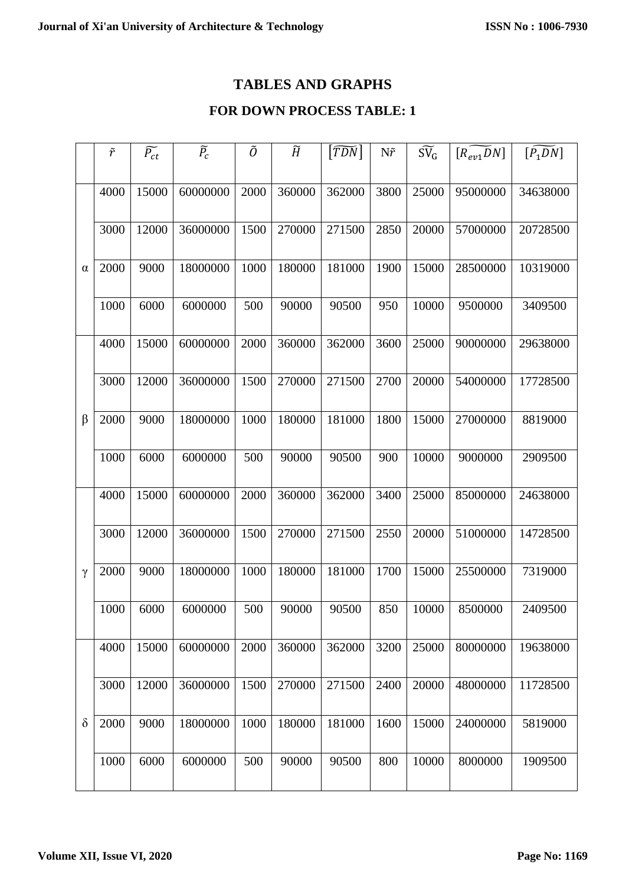# **TABLES AND GRAPHS**

# **FOR DOWN PROCESS TABLE: 1**

|          | $\tilde{r}$ | $\widetilde{P_{ct}}$ | $\widetilde{P}_{c}$ | Õ    | $\widetilde{H}$ | $ \widetilde{TDN} $ | $N\tilde{r}$ | $\widetilde{\mathrm{SV}}_{\mathrm{G}}$ | $[R_{ev1}D_N]$ | $\left[\overline{P_1}\overline{DN}\right]$ |
|----------|-------------|----------------------|---------------------|------|-----------------|---------------------|--------------|----------------------------------------|----------------|--------------------------------------------|
|          |             |                      |                     |      |                 |                     |              |                                        |                |                                            |
| α        | 4000        | 15000                | 60000000            | 2000 | 360000          | 362000              | 3800         | 25000                                  | 95000000       | 34638000                                   |
|          | 3000        | 12000                | 36000000            | 1500 | 270000          | 271500              | 2850         | 20000                                  | 57000000       | 20728500                                   |
|          |             |                      |                     |      |                 |                     |              |                                        |                |                                            |
|          | 2000        | 9000                 | 18000000            | 1000 | 180000          | 181000              | 1900         | 15000                                  | 28500000       | 10319000                                   |
|          | 1000        | 6000                 | 6000000             | 500  | 90000           | 90500               | 950          | 10000                                  | 9500000        | 3409500                                    |
|          |             |                      |                     |      |                 |                     |              |                                        |                |                                            |
|          | 4000        | 15000                | 60000000            | 2000 | 360000          | 362000              | 3600         | 25000                                  | 90000000       | 29638000                                   |
|          |             |                      |                     |      |                 |                     |              |                                        |                |                                            |
|          | 3000        | 12000                | 36000000            | 1500 | 270000          | 271500              | 2700         | 20000                                  | 54000000       | 17728500                                   |
| $\beta$  | 2000        | 9000                 | 18000000            | 1000 | 180000          | 181000              | 1800         | 15000                                  | 27000000       | 8819000                                    |
|          |             |                      |                     |      |                 |                     |              |                                        |                |                                            |
|          | 1000        | 6000                 | 6000000             | 500  | 90000           | 90500               | 900          | 10000                                  | 9000000        | 2909500                                    |
|          |             |                      |                     |      |                 |                     |              |                                        | 85000000       |                                            |
| $\gamma$ | 4000        | 15000                | 60000000            | 2000 | 360000          | 362000              | 3400         | 25000                                  |                | 24638000                                   |
|          | 3000        | 12000                | 36000000            | 1500 | 270000          | 271500              | 2550         | 20000                                  | 51000000       | 14728500                                   |
|          |             |                      |                     |      |                 |                     |              |                                        |                |                                            |
|          | 2000        | 9000                 | 18000000            | 1000 | 180000          | 181000              | 1700         | 15000                                  | 25500000       | 7319000                                    |
|          | 1000        | 6000                 | 6000000             | 500  | 90000           | 90500               | 850          | 10000                                  | 8500000        | 2409500                                    |
|          |             |                      |                     |      |                 |                     |              |                                        |                |                                            |
| $\delta$ | 4000        | 15000                | 60000000            | 2000 | 360000          | 362000              | 3200         | 25000                                  | 80000000       | 19638000                                   |
|          |             |                      |                     |      |                 |                     |              |                                        |                |                                            |
|          | 3000        | 12000                | 36000000            | 1500 | 270000          | 271500              | 2400         | 20000                                  | 48000000       | 11728500                                   |
|          | 2000        | 9000                 | 18000000            | 1000 | 180000          | 181000              | 1600         | 15000                                  | 24000000       | 5819000                                    |
|          |             |                      |                     |      |                 |                     |              |                                        |                |                                            |
|          | 1000        | 6000                 | 6000000             | 500  | 90000           | 90500               | 800          | 10000                                  | 8000000        | 1909500                                    |
|          |             |                      |                     |      |                 |                     |              |                                        |                |                                            |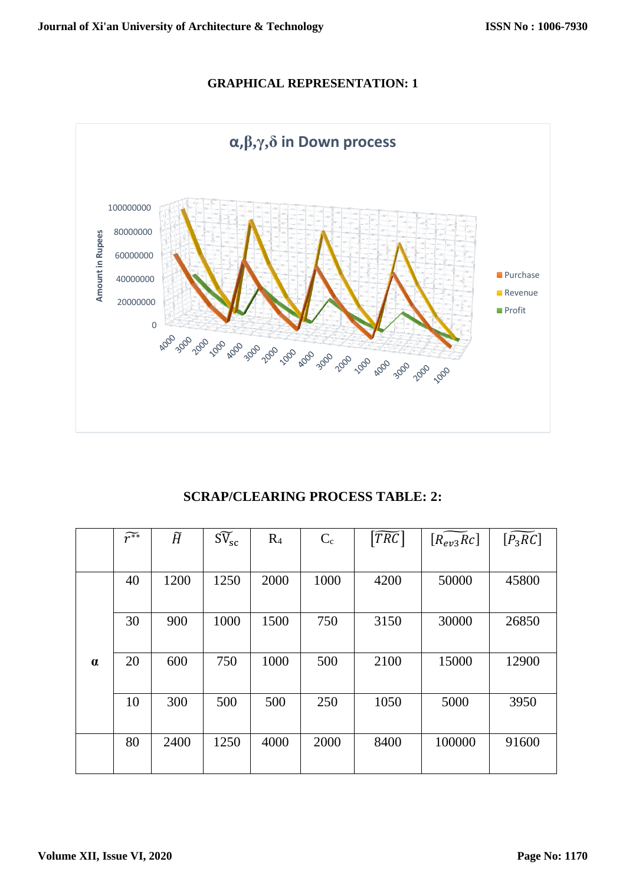# **GRAPHICAL REPRESENTATION: 1**



**SCRAP/CLEARING PROCESS TABLE: 2:**

|          | $\widetilde{r^{**}}$ | $\widetilde{H}$ | $\widetilde{\mathrm{SV}}_{\mathrm{sc}}$ | R <sub>4</sub> | $C_{c}$ | $ \widetilde{TRC} $ | $[R_{ev3}Rc]$ | $[P_3RC]$ |
|----------|----------------------|-----------------|-----------------------------------------|----------------|---------|---------------------|---------------|-----------|
|          |                      |                 |                                         |                |         |                     |               |           |
|          | 40                   | 1200            | 1250                                    | 2000           | 1000    | 4200                | 50000         | 45800     |
|          |                      |                 |                                         |                |         |                     |               |           |
|          | 30                   | 900             | 1000                                    | 1500           | 750     | 3150                | 30000         | 26850     |
|          |                      |                 |                                         |                |         |                     |               |           |
| $\alpha$ | 20                   | 600             | 750                                     | 1000           | 500     | 2100                | 15000         | 12900     |
|          |                      |                 |                                         |                |         |                     |               |           |
|          | 10                   | 300             | 500                                     | 500            | 250     | 1050                | 5000          | 3950      |
|          |                      |                 |                                         |                |         |                     |               |           |
|          | 80                   | 2400            | 1250                                    | 4000           | 2000    | 8400                | 100000        | 91600     |
|          |                      |                 |                                         |                |         |                     |               |           |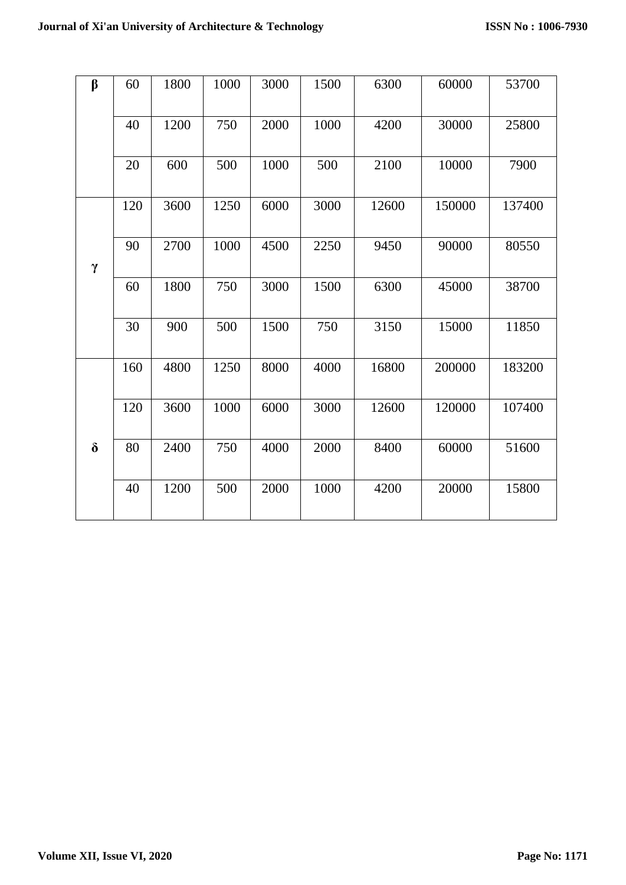| $\beta$  | 60  | 1800 | 1000 | 3000 | 1500 | 6300  | 60000  | 53700  |
|----------|-----|------|------|------|------|-------|--------|--------|
|          |     |      |      |      |      |       |        |        |
|          | 40  | 1200 | 750  | 2000 | 1000 | 4200  | 30000  | 25800  |
|          |     |      |      |      |      |       |        |        |
|          | 20  | 600  | 500  | 1000 | 500  | 2100  | 10000  | 7900   |
|          |     |      |      |      |      |       |        |        |
|          | 120 | 3600 | 1250 | 6000 | 3000 | 12600 | 150000 | 137400 |
|          |     |      |      |      |      |       |        |        |
|          | 90  | 2700 | 1000 | 4500 | 2250 | 9450  | 90000  | 80550  |
| $\gamma$ |     |      |      |      |      |       |        |        |
|          | 60  | 1800 | 750  | 3000 | 1500 | 6300  | 45000  | 38700  |
|          |     |      |      |      |      |       |        |        |
|          | 30  | 900  | 500  | 1500 | 750  | 3150  | 15000  | 11850  |
|          |     |      |      |      |      |       |        |        |
|          | 160 | 4800 | 1250 | 8000 | 4000 | 16800 | 200000 | 183200 |
|          |     |      |      |      |      |       |        |        |
|          | 120 | 3600 | 1000 | 6000 | 3000 | 12600 | 120000 | 107400 |
|          |     |      |      |      |      |       |        |        |
| $\delta$ | 80  | 2400 | 750  | 4000 | 2000 | 8400  | 60000  | 51600  |
|          |     |      |      |      |      |       |        |        |
|          | 40  | 1200 | 500  | 2000 | 1000 | 4200  | 20000  | 15800  |
|          |     |      |      |      |      |       |        |        |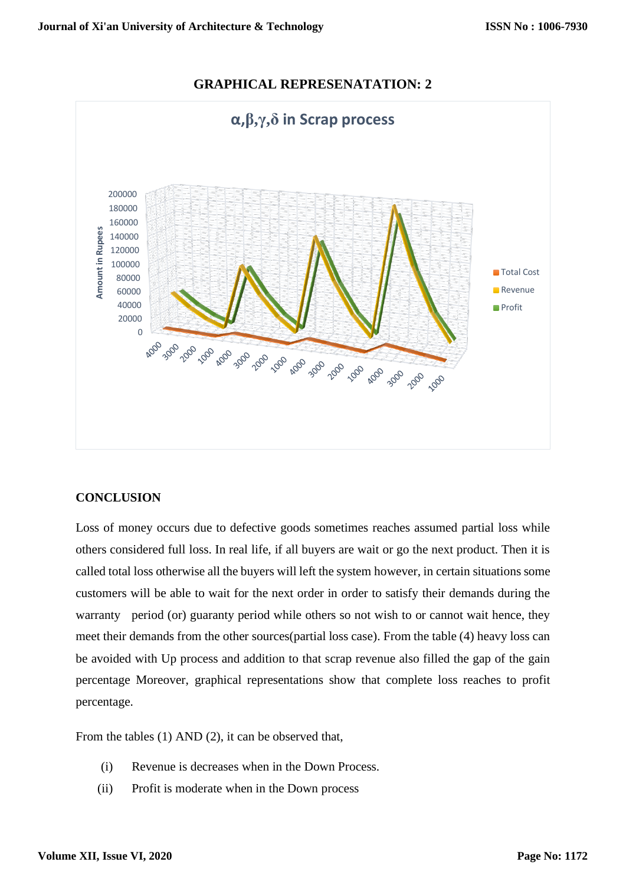

# **GRAPHICAL REPRESENATATION: 2**

## **CONCLUSION**

Loss of money occurs due to defective goods sometimes reaches assumed partial loss while others considered full loss. In real life, if all buyers are wait or go the next product. Then it is called total loss otherwise all the buyers will left the system however, in certain situations some customers will be able to wait for the next order in order to satisfy their demands during the warranty period (or) guaranty period while others so not wish to or cannot wait hence, they meet their demands from the other sources(partial loss case). From the table (4) heavy loss can be avoided with Up process and addition to that scrap revenue also filled the gap of the gain percentage Moreover, graphical representations show that complete loss reaches to profit percentage.

From the tables (1) AND (2), it can be observed that,

- (i) Revenue is decreases when in the Down Process.
- (ii) Profit is moderate when in the Down process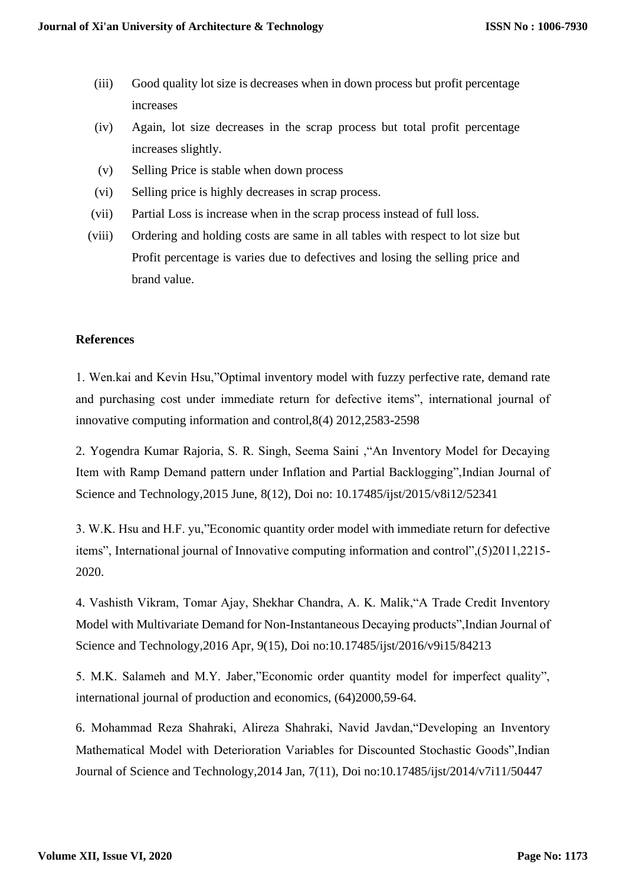- (iii) Good quality lot size is decreases when in down process but profit percentage increases
- (iv) Again, lot size decreases in the scrap process but total profit percentage increases slightly.
- (v) Selling Price is stable when down process
- (vi) Selling price is highly decreases in scrap process.
- (vii) Partial Loss is increase when in the scrap process instead of full loss.
- (viii) Ordering and holding costs are same in all tables with respect to lot size but Profit percentage is varies due to defectives and losing the selling price and brand value.

#### **References**

1. Wen.kai and Kevin Hsu,"Optimal inventory model with fuzzy perfective rate, demand rate and purchasing cost under immediate return for defective items", international journal of innovative computing information and control,8(4) 2012,2583-2598

2. Yogendra Kumar Rajoria, S. R. Singh, Seema Saini ,"An Inventory Model for Decaying Item with Ramp Demand pattern under Inflation and Partial Backlogging",Indian Journal of Science and Technology,2015 June, 8(12), Doi no: 10.17485/ijst/2015/v8i12/52341

3. W.K. Hsu and H.F. yu,"Economic quantity order model with immediate return for defective items", International journal of Innovative computing information and control",(5)2011,2215- 2020.

4. Vashisth Vikram, Tomar Ajay, Shekhar Chandra, A. K. Malik,"A Trade Credit Inventory Model with Multivariate Demand for Non-Instantaneous Decaying products",Indian Journal of Science and Technology,2016 Apr, 9(15), Doi no:10.17485/ijst/2016/v9i15/84213

5. M.K. Salameh and M.Y. Jaber,"Economic order quantity model for imperfect quality", international journal of production and economics, (64)2000,59-64.

6. Mohammad Reza Shahraki, Alireza Shahraki, Navid Javdan,"Developing an Inventory Mathematical Model with Deterioration Variables for Discounted Stochastic Goods",Indian Journal of Science and Technology,2014 Jan, 7(11), Doi no:10.17485/ijst/2014/v7i11/50447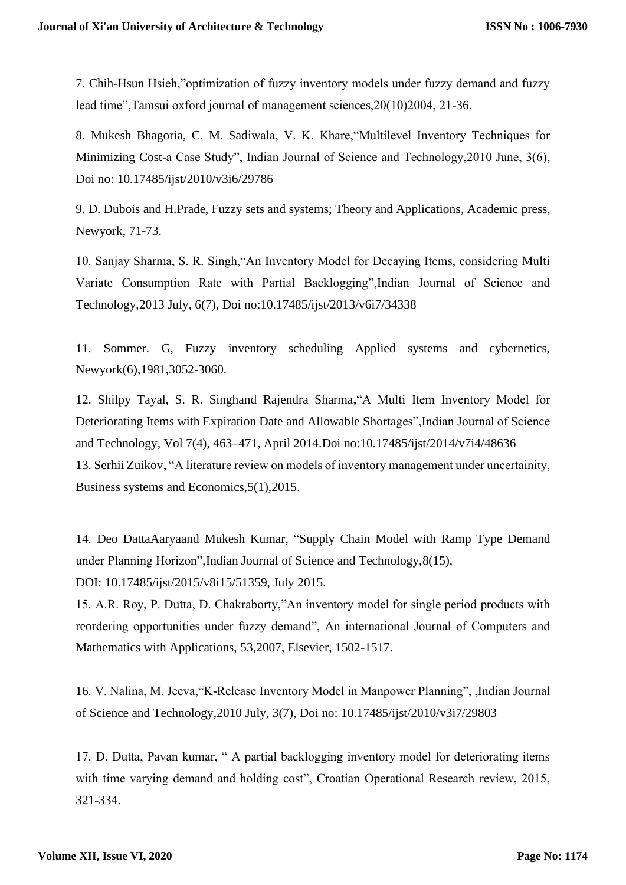7. Chih-Hsun Hsieh,"optimization of fuzzy inventory models under fuzzy demand and fuzzy lead time",Tamsui oxford journal of management sciences,20(10)2004, 21-36.

8. Mukesh Bhagoria, C. M. Sadiwala, V. K. Khare,"Multilevel Inventory Techniques for Minimizing Cost-a Case Study", Indian Journal of Science and Technology,2010 June, 3(6), Doi no: 10.17485/ijst/2010/v3i6/29786

9. D. Dubois and H.Prade, Fuzzy sets and systems; Theory and Applications, Academic press, Newyork, 71-73.

10. Sanjay Sharma, S. R. Singh,"An Inventory Model for Decaying Items, considering Multi Variate Consumption Rate with Partial Backlogging",Indian Journal of Science and Technology,2013 July, 6(7), Doi no:10.17485/ijst/2013/v6i7/34338

11. Sommer. G, Fuzzy inventory scheduling Applied systems and cybernetics, Newyork(6),1981,3052-3060.

12. Shilpy Tayal, S. R. Singhand Rajendra Sharma**,**"A Multi Item Inventory Model for Deteriorating Items with Expiration Date and Allowable Shortages",Indian Journal of Science and Technology, Vol 7(4), 463–471, April 2014.Doi no:10.17485/ijst/2014/v7i4/48636 13. Serhii Zuikov, "A literature review on models of inventory management under uncertainity, Business systems and Economics,5(1),2015.

14. Deo DattaAaryaand Mukesh Kumar, "Supply Chain Model with Ramp Type Demand under Planning Horizon",Indian Journal of Science and Technology,8(15), DOI: 10.17485/ijst/2015/v8i15/51359, July 2015.

15. A.R. Roy, P. Dutta, D. Chakraborty,"An inventory model for single period products with reordering opportunities under fuzzy demand", An international Journal of Computers and Mathematics with Applications, 53,2007, Elsevier, 1502-1517.

16. V. Nalina, M. Jeeva,"K-Release Inventory Model in Manpower Planning", ,Indian Journal of Science and Technology,2010 July, 3(7), Doi no: 10.17485/ijst/2010/v3i7/29803

17. D. Dutta, Pavan kumar, " A partial backlogging inventory model for deteriorating items with time varying demand and holding cost", Croatian Operational Research review, 2015, 321-334.